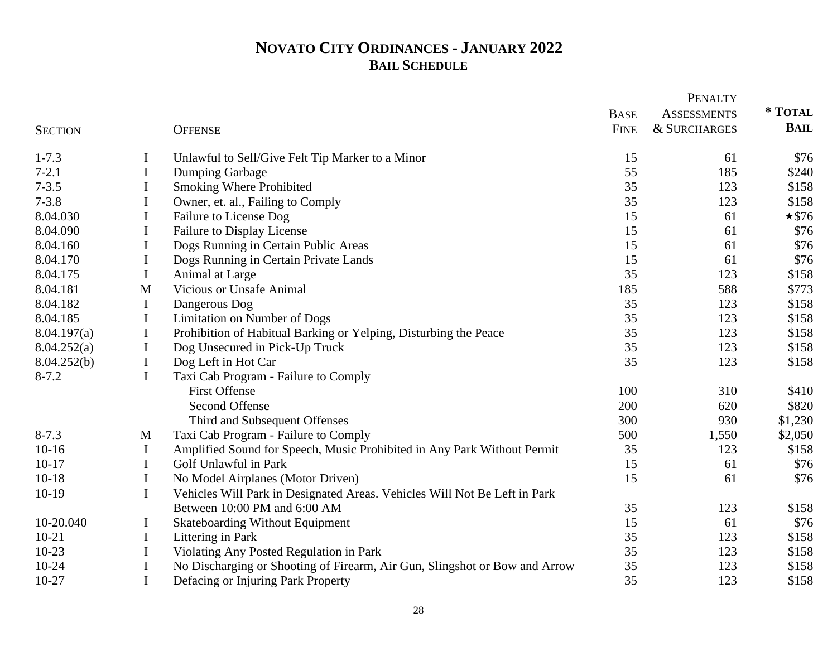## **NOVATO CITY ORDINANCES - JANUARY 2022 BAIL SCHEDULE**

|                |             |                                                                            | <b>BASE</b> | <b>ASSESSMENTS</b> | * TOTAL      |
|----------------|-------------|----------------------------------------------------------------------------|-------------|--------------------|--------------|
| <b>SECTION</b> |             | <b>OFFENSE</b>                                                             | <b>FINE</b> | & SURCHARGES       | <b>BAIL</b>  |
|                |             |                                                                            |             |                    |              |
| $1 - 7.3$      | I           | Unlawful to Sell/Give Felt Tip Marker to a Minor                           | 15          | 61                 | \$76         |
| $7 - 2.1$      | I           | Dumping Garbage                                                            | 55          | 185                | \$240        |
| $7 - 3.5$      | I           | <b>Smoking Where Prohibited</b>                                            | 35          | 123                | \$158        |
| $7 - 3.8$      | $\bf{I}$    | Owner, et. al., Failing to Comply                                          | 35          | 123                | \$158        |
| 8.04.030       | I           | Failure to License Dog                                                     | 15          | 61                 | $\star$ \$76 |
| 8.04.090       | I           | Failure to Display License                                                 | 15          | 61                 | \$76         |
| 8.04.160       | I           | Dogs Running in Certain Public Areas                                       | 15          | 61                 | \$76         |
| 8.04.170       | I           | Dogs Running in Certain Private Lands                                      | 15          | 61                 | \$76         |
| 8.04.175       | $\bf{I}$    | Animal at Large                                                            | 35          | 123                | \$158        |
| 8.04.181       | M           | <b>Vicious or Unsafe Animal</b>                                            | 185         | 588                | \$773        |
| 8.04.182       | $\mathbf I$ | Dangerous Dog                                                              | 35          | 123                | \$158        |
| 8.04.185       | $\bf{I}$    | Limitation on Number of Dogs                                               | 35          | 123                | \$158        |
| 8.04.197(a)    | $\bf{I}$    | Prohibition of Habitual Barking or Yelping, Disturbing the Peace           | 35          | 123                | \$158        |
| 8.04.252(a)    | $\bf{I}$    | Dog Unsecured in Pick-Up Truck                                             | 35          | 123                | \$158        |
| 8.04.252(b)    | $\bf{I}$    | Dog Left in Hot Car                                                        | 35          | 123                | \$158        |
| $8 - 7.2$      | $\mathbf I$ | Taxi Cab Program - Failure to Comply                                       |             |                    |              |
|                |             | <b>First Offense</b>                                                       | 100         | 310                | \$410        |
|                |             | <b>Second Offense</b>                                                      | 200         | 620                | \$820        |
|                |             | Third and Subsequent Offenses                                              | 300         | 930                | \$1,230      |
| $8 - 7.3$      | M           | Taxi Cab Program - Failure to Comply                                       | 500         | 1,550              | \$2,050      |
| $10-16$        | I           | Amplified Sound for Speech, Music Prohibited in Any Park Without Permit    | 35          | 123                | \$158        |
| $10 - 17$      | $\mathbf I$ | Golf Unlawful in Park                                                      | 15          | 61                 | \$76         |
| $10 - 18$      | $\bf{I}$    | No Model Airplanes (Motor Driven)                                          | 15          | 61                 | \$76         |
| $10-19$        | $\mathbf I$ | Vehicles Will Park in Designated Areas. Vehicles Will Not Be Left in Park  |             |                    |              |
|                |             | Between 10:00 PM and 6:00 AM                                               | 35          | 123                | \$158        |
| 10-20.040      | I           | <b>Skateboarding Without Equipment</b>                                     | 15          | 61                 | \$76         |
| $10 - 21$      | $\mathbf I$ | Littering in Park                                                          | 35          | 123                | \$158        |
| $10 - 23$      | $\bf{I}$    | Violating Any Posted Regulation in Park                                    | 35          | 123                | \$158        |
| $10 - 24$      | $\bf{I}$    | No Discharging or Shooting of Firearm, Air Gun, Slingshot or Bow and Arrow | 35          | 123                | \$158        |
| $10-27$        | $\bf{I}$    | Defacing or Injuring Park Property                                         | 35          | 123                | \$158        |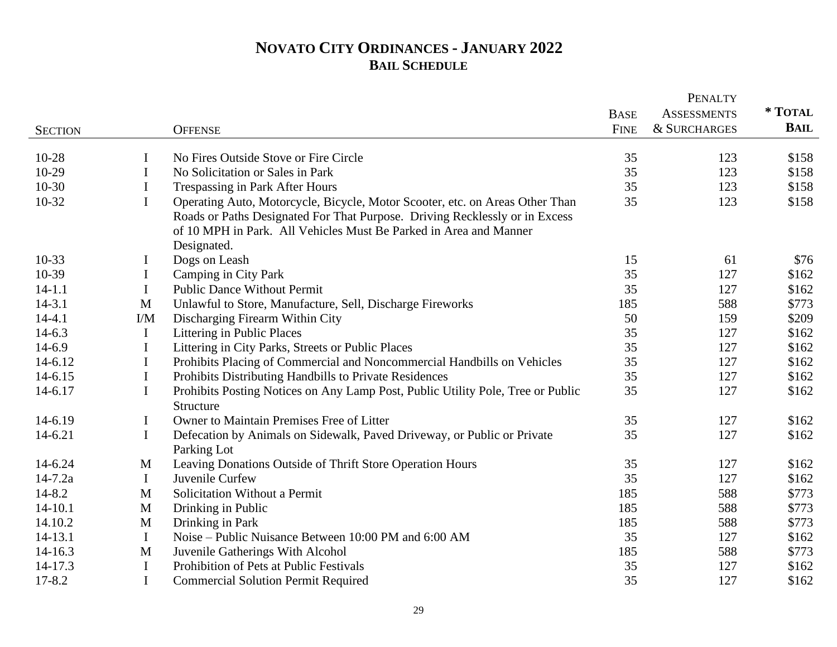## **NOVATO CITY ORDINANCES - JANUARY 2022 BAIL SCHEDULE**

|                |              |                                                                                                                                                  | PENALTY     |                         |         |  |
|----------------|--------------|--------------------------------------------------------------------------------------------------------------------------------------------------|-------------|-------------------------|---------|--|
|                |              |                                                                                                                                                  | <b>BASE</b> | <b>ASSESSMENTS</b>      | * TOTAL |  |
| <b>SECTION</b> |              | <b>OFFENSE</b>                                                                                                                                   | <b>FINE</b> | <b>&amp; SURCHARGES</b> | BAIL    |  |
| 10-28          | I            | No Fires Outside Stove or Fire Circle                                                                                                            | 35          | 123                     | \$158   |  |
| 10-29          |              |                                                                                                                                                  |             |                         |         |  |
| $10-30$        | I            | No Solicitation or Sales in Park                                                                                                                 | 35<br>35    | 123                     | \$158   |  |
|                | I            | Trespassing in Park After Hours                                                                                                                  |             | 123                     | \$158   |  |
| $10-32$        | $\mathbf I$  | Operating Auto, Motorcycle, Bicycle, Motor Scooter, etc. on Areas Other Than                                                                     | 35          | 123                     | \$158   |  |
|                |              | Roads or Paths Designated For That Purpose. Driving Recklessly or in Excess<br>of 10 MPH in Park. All Vehicles Must Be Parked in Area and Manner |             |                         |         |  |
|                |              | Designated.                                                                                                                                      |             |                         |         |  |
| $10-33$        | I            | Dogs on Leash                                                                                                                                    | 15          | 61                      | \$76    |  |
| 10-39          | $\bf{I}$     | Camping in City Park                                                                                                                             | 35          | 127                     | \$162   |  |
| $14 - 1.1$     | $\mathbf I$  | <b>Public Dance Without Permit</b>                                                                                                               | 35          | 127                     | \$162   |  |
| $14 - 3.1$     | $\mathbf M$  | Unlawful to Store, Manufacture, Sell, Discharge Fireworks                                                                                        | 185         | 588                     | \$773   |  |
| $14 - 4.1$     | I/M          | Discharging Firearm Within City                                                                                                                  | 50          | 159                     | \$209   |  |
| $14 - 6.3$     | $\bf{I}$     | Littering in Public Places                                                                                                                       | 35          | 127                     | \$162   |  |
| $14 - 6.9$     | $\bf{I}$     | Littering in City Parks, Streets or Public Places                                                                                                | 35          | 127                     | \$162   |  |
| 14-6.12        | $\bf{I}$     | Prohibits Placing of Commercial and Noncommercial Handbills on Vehicles                                                                          | 35          | 127                     | \$162   |  |
| 14-6.15        | $\mathbf I$  | Prohibits Distributing Handbills to Private Residences                                                                                           | 35          | 127                     | \$162   |  |
| 14-6.17        | $\bf{I}$     | Prohibits Posting Notices on Any Lamp Post, Public Utility Pole, Tree or Public                                                                  | 35          | 127                     | \$162   |  |
|                |              | Structure                                                                                                                                        |             |                         |         |  |
| 14-6.19        | Ι            | Owner to Maintain Premises Free of Litter                                                                                                        | 35          | 127                     | \$162   |  |
| $14 - 6.21$    | $\mathbf I$  | Defecation by Animals on Sidewalk, Paved Driveway, or Public or Private                                                                          | 35          | 127                     | \$162   |  |
|                |              | Parking Lot                                                                                                                                      |             |                         |         |  |
| 14-6.24        | $\mathbf{M}$ | Leaving Donations Outside of Thrift Store Operation Hours                                                                                        | 35          | 127                     | \$162   |  |
| $14 - 7.2a$    | $\bf{I}$     | Juvenile Curfew                                                                                                                                  | 35          | 127                     | \$162   |  |
| $14 - 8.2$     | M            | Solicitation Without a Permit                                                                                                                    | 185         | 588                     | \$773   |  |
| $14 - 10.1$    | $\mathbf M$  | Drinking in Public                                                                                                                               | 185         | 588                     | \$773   |  |
| 14.10.2        | $\mathbf{M}$ | Drinking in Park                                                                                                                                 | 185         | 588                     | \$773   |  |
| 14-13.1        | $\bf{I}$     | Noise – Public Nuisance Between 10:00 PM and 6:00 AM                                                                                             | 35          | 127                     | \$162   |  |
| 14-16.3        | $\mathbf{M}$ | Juvenile Gatherings With Alcohol                                                                                                                 | 185         | 588                     | \$773   |  |
| 14-17.3        | Ι.           | Prohibition of Pets at Public Festivals                                                                                                          | 35          | 127                     | \$162   |  |
| $17 - 8.2$     | $\bf{I}$     | <b>Commercial Solution Permit Required</b>                                                                                                       | 35          | 127                     | \$162   |  |